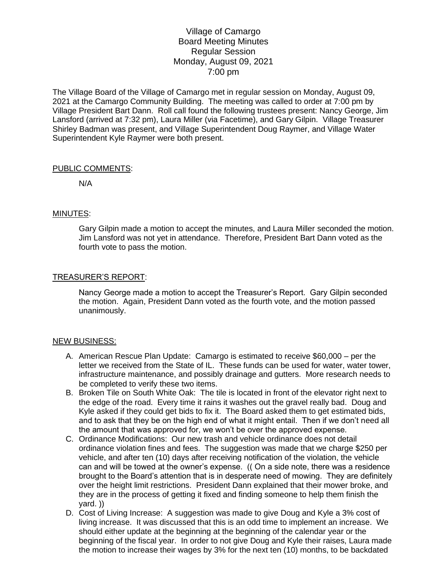# Village of Camargo Board Meeting Minutes Regular Session Monday, August 09, 2021 7:00 pm

The Village Board of the Village of Camargo met in regular session on Monday, August 09, 2021 at the Camargo Community Building. The meeting was called to order at 7:00 pm by Village President Bart Dann. Roll call found the following trustees present: Nancy George, Jim Lansford (arrived at 7:32 pm), Laura Miller (via Facetime), and Gary Gilpin. Village Treasurer Shirley Badman was present, and Village Superintendent Doug Raymer, and Village Water Superintendent Kyle Raymer were both present.

### PUBLIC COMMENTS:

N/A

### MINUTES:

Gary Gilpin made a motion to accept the minutes, and Laura Miller seconded the motion. Jim Lansford was not yet in attendance. Therefore, President Bart Dann voted as the fourth vote to pass the motion.

### TREASURER'S REPORT:

Nancy George made a motion to accept the Treasurer's Report. Gary Gilpin seconded the motion. Again, President Dann voted as the fourth vote, and the motion passed unanimously.

### NEW BUSINESS:

- A. American Rescue Plan Update: Camargo is estimated to receive \$60,000 per the letter we received from the State of IL. These funds can be used for water, water tower, infrastructure maintenance, and possibly drainage and gutters. More research needs to be completed to verify these two items.
- B. Broken Tile on South White Oak: The tile is located in front of the elevator right next to the edge of the road. Every time it rains it washes out the gravel really bad. Doug and Kyle asked if they could get bids to fix it. The Board asked them to get estimated bids, and to ask that they be on the high end of what it might entail. Then if we don't need all the amount that was approved for, we won't be over the approved expense.
- C. Ordinance Modifications: Our new trash and vehicle ordinance does not detail ordinance violation fines and fees. The suggestion was made that we charge \$250 per vehicle, and after ten (10) days after receiving notification of the violation, the vehicle can and will be towed at the owner's expense. (( On a side note, there was a residence brought to the Board's attention that is in desperate need of mowing. They are definitely over the height limit restrictions. President Dann explained that their mower broke, and they are in the process of getting it fixed and finding someone to help them finish the yard. ))
- D. Cost of Living Increase: A suggestion was made to give Doug and Kyle a 3% cost of living increase. It was discussed that this is an odd time to implement an increase. We should either update at the beginning at the beginning of the calendar year or the beginning of the fiscal year. In order to not give Doug and Kyle their raises, Laura made the motion to increase their wages by 3% for the next ten (10) months, to be backdated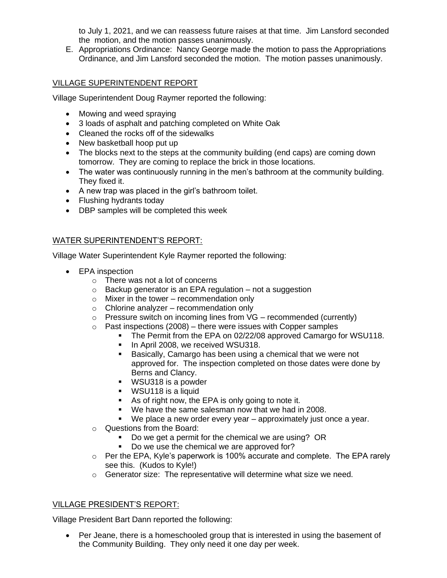to July 1, 2021, and we can reassess future raises at that time. Jim Lansford seconded the motion, and the motion passes unanimously.

E. Appropriations Ordinance: Nancy George made the motion to pass the Appropriations Ordinance, and Jim Lansford seconded the motion. The motion passes unanimously.

## VILLAGE SUPERINTENDENT REPORT

Village Superintendent Doug Raymer reported the following:

- Mowing and weed spraying
- 3 loads of asphalt and patching completed on White Oak
- Cleaned the rocks off of the sidewalks
- New basketball hoop put up
- The blocks next to the steps at the community building (end caps) are coming down tomorrow. They are coming to replace the brick in those locations.
- The water was continuously running in the men's bathroom at the community building. They fixed it.
- A new trap was placed in the girl's bathroom toilet.
- Flushing hydrants today
- DBP samples will be completed this week

## WATER SUPERINTENDENT'S REPORT:

Village Water Superintendent Kyle Raymer reported the following:

- EPA inspection
	- o There was not a lot of concerns
	- $\circ$  Backup generator is an EPA regulation not a suggestion
	- $\circ$  Mixer in the tower recommendation only
	- $\circ$  Chlorine analyzer recommendation only
	- $\circ$  Pressure switch on incoming lines from VG recommended (currently)
	- $\circ$  Past inspections (2008) there were issues with Copper samples
		- **The Permit from the EPA on 02/22/08 approved Camargo for WSU118.**
		- **·** In April 2008, we received WSU318.
		- Basically, Camargo has been using a chemical that we were not approved for. The inspection completed on those dates were done by Berns and Clancy.
		- WSU318 is a powder
		- WSU118 is a liquid
		- As of right now, the EPA is only going to note it.
		- We have the same salesman now that we had in 2008.
		- We place a new order every year approximately just once a year.
	- o Questions from the Board:
		- Do we get a permit for the chemical we are using? OR
		- Do we use the chemical we are approved for?
	- o Per the EPA, Kyle's paperwork is 100% accurate and complete. The EPA rarely see this. (Kudos to Kyle!)
	- o Generator size: The representative will determine what size we need.

### VILLAGE PRESIDENT'S REPORT:

Village President Bart Dann reported the following:

• Per Jeane, there is a homeschooled group that is interested in using the basement of the Community Building. They only need it one day per week.